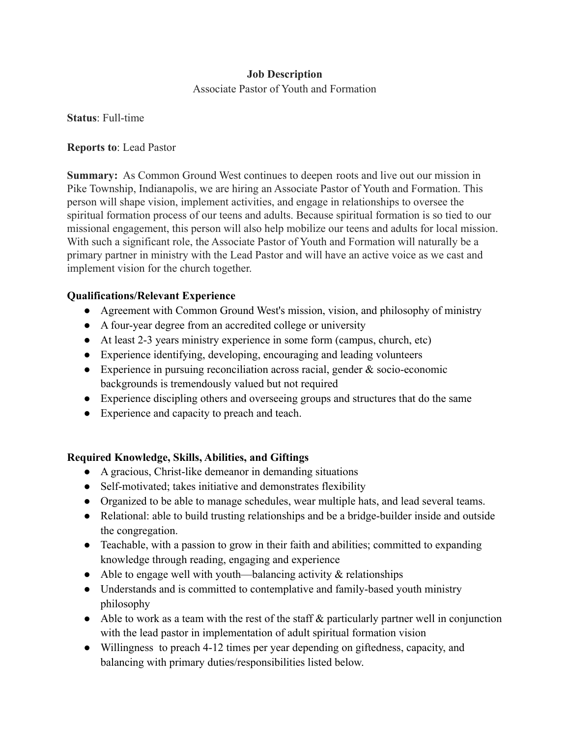#### **Job Description**

Associate Pastor of Youth and Formation

**Status**: Full-time

#### **Reports to**: Lead Pastor

**Summary:** As Common Ground West continues to deepen roots and live out our mission in Pike Township, Indianapolis, we are hiring an Associate Pastor of Youth and Formation. This person will shape vision, implement activities, and engage in relationships to oversee the spiritual formation process of our teens and adults. Because spiritual formation is so tied to our missional engagement, this person will also help mobilize our teens and adults for local mission. With such a significant role, the Associate Pastor of Youth and Formation will naturally be a primary partner in ministry with the Lead Pastor and will have an active voice as we cast and implement vision for the church together.

### **Qualifications/Relevant Experience**

- Agreement with Common Ground West's mission, vision, and philosophy of ministry
- A four-year degree from an accredited college or university
- At least 2-3 years ministry experience in some form (campus, church, etc)
- Experience identifying, developing, encouraging and leading volunteers
- Experience in pursuing reconciliation across racial, gender  $\&$  socio-economic backgrounds is tremendously valued but not required
- Experience discipling others and overseeing groups and structures that do the same
- Experience and capacity to preach and teach.

## **Required Knowledge, Skills, Abilities, and Giftings**

- A gracious, Christ-like demeanor in demanding situations
- Self-motivated; takes initiative and demonstrates flexibility
- Organized to be able to manage schedules, wear multiple hats, and lead several teams.
- Relational: able to build trusting relationships and be a bridge-builder inside and outside the congregation.
- Teachable, with a passion to grow in their faith and abilities; committed to expanding knowledge through reading, engaging and experience
- Able to engage well with youth—balancing activity  $\&$  relationships
- Understands and is committed to contemplative and family-based youth ministry philosophy
- $\bullet$  Able to work as a team with the rest of the staff  $\&$  particularly partner well in conjunction with the lead pastor in implementation of adult spiritual formation vision
- Willingness to preach 4-12 times per year depending on giftedness, capacity, and balancing with primary duties/responsibilities listed below.